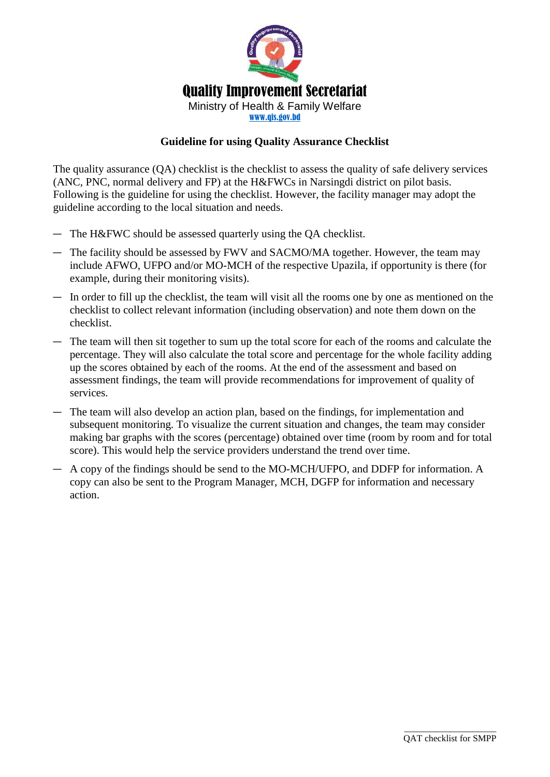

#### **Guideline for using Quality Assurance Checklist**

The quality assurance (QA) checklist is the checklist to assess the quality of safe delivery services (ANC, PNC, normal delivery and FP) at the H&FWCs in Narsingdi district on pilot basis. Following is the guideline for using the checklist. However, the facility manager may adopt the guideline according to the local situation and needs.

- ― The H&FWC should be assessed quarterly using the QA checklist.
- ― The facility should be assessed by FWV and SACMO/MA together. However, the team may include AFWO, UFPO and/or MO-MCH of the respective Upazila, if opportunity is there (for example, during their monitoring visits).
- ― In order to fill up the checklist, the team will visit all the rooms one by one as mentioned on the checklist to collect relevant information (including observation) and note them down on the checklist.
- ― The team will then sit together to sum up the total score for each of the rooms and calculate the percentage. They will also calculate the total score and percentage for the whole facility adding up the scores obtained by each of the rooms. At the end of the assessment and based on assessment findings, the team will provide recommendations for improvement of quality of services.
- ― The team will also develop an action plan, based on the findings, for implementation and subsequent monitoring. To visualize the current situation and changes, the team may consider making bar graphs with the scores (percentage) obtained over time (room by room and for total score). This would help the service providers understand the trend over time.
- ― A copy of the findings should be send to the MO-MCH/UFPO, and DDFP for information. A copy can also be sent to the Program Manager, MCH, DGFP for information and necessary action.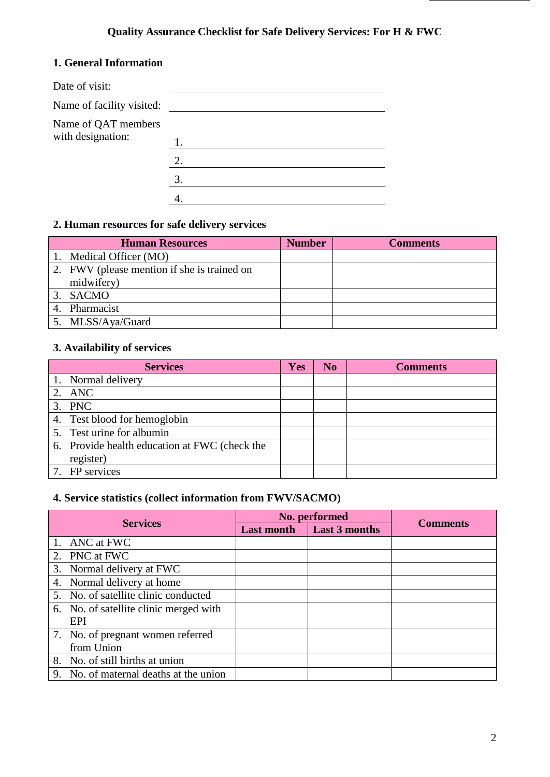# **Quality Assurance Checklist for Safe Delivery Services: For H & FWC**

### **1. General Information**

| Date of visit:            |    |
|---------------------------|----|
| Name of facility visited: |    |
| Name of QAT members       |    |
| with designation:         |    |
|                           | 2. |
|                           | 3. |
|                           |    |

### **2. Human resources for safe delivery services**

| <b>Human Resources</b>                      | <b>Number</b> | <b>Comments</b> |
|---------------------------------------------|---------------|-----------------|
| 1. Medical Officer (MO)                     |               |                 |
| 2. FWV (please mention if she is trained on |               |                 |
| midwifery)                                  |               |                 |
| 3. SACMO                                    |               |                 |
| Pharmacist                                  |               |                 |
| 5. MLSS/Aya/Guard                           |               |                 |

#### **3. Availability of services**

| <b>Services</b>                               | <b>Yes</b> | N <sub>0</sub> | <b>Comments</b> |
|-----------------------------------------------|------------|----------------|-----------------|
| 1. Normal delivery                            |            |                |                 |
| 2. ANC                                        |            |                |                 |
| 3. PNC                                        |            |                |                 |
| 4. Test blood for hemoglobin                  |            |                |                 |
| 5. Test urine for albumin                     |            |                |                 |
| 6. Provide health education at FWC (check the |            |                |                 |
| register)                                     |            |                |                 |
| 7. FP services                                |            |                |                 |

## **4. Service statistics (collect information from FWV/SACMO)**

|                 |                                        |                   | No. performed        |                 |
|-----------------|----------------------------------------|-------------------|----------------------|-----------------|
| <b>Services</b> |                                        | <b>Last month</b> | <b>Last 3 months</b> | <b>Comments</b> |
|                 | 1. ANC at FWC                          |                   |                      |                 |
|                 | 2. PNC at FWC                          |                   |                      |                 |
|                 | 3. Normal delivery at FWC              |                   |                      |                 |
|                 | 4. Normal delivery at home             |                   |                      |                 |
|                 | 5. No. of satellite clinic conducted   |                   |                      |                 |
|                 | 6. No. of satellite clinic merged with |                   |                      |                 |
|                 | EPI                                    |                   |                      |                 |
|                 | 7. No. of pregnant women referred      |                   |                      |                 |
|                 | from Union                             |                   |                      |                 |
|                 | 8. No. of still births at union        |                   |                      |                 |
|                 | 9. No. of maternal deaths at the union |                   |                      |                 |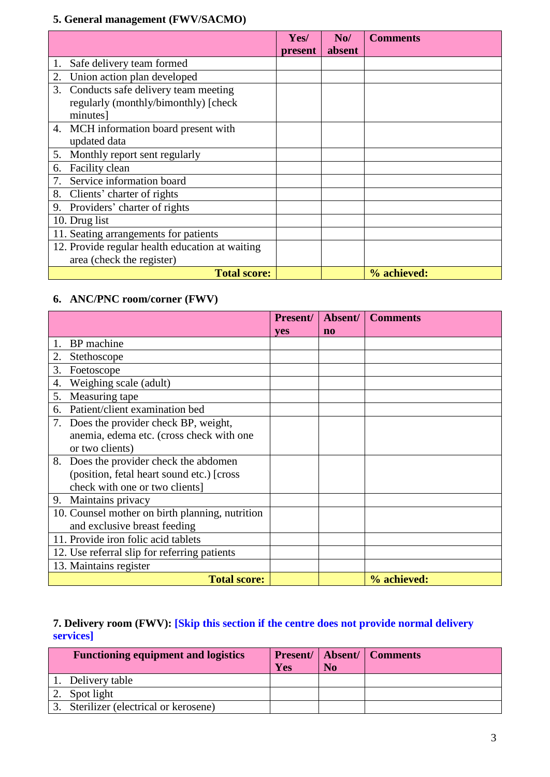## **5. General management (FWV/SACMO)**

|                                                 | Yes/    | No/    | <b>Comments</b> |
|-------------------------------------------------|---------|--------|-----------------|
|                                                 | present | absent |                 |
| Safe delivery team formed<br>1.                 |         |        |                 |
| 2.<br>Union action plan developed               |         |        |                 |
| Conducts safe delivery team meeting<br>3.       |         |        |                 |
| regularly (monthly/bimonthly) [check            |         |        |                 |
| minutes]                                        |         |        |                 |
| 4. MCH information board present with           |         |        |                 |
| updated data                                    |         |        |                 |
| 5. Monthly report sent regularly                |         |        |                 |
| Facility clean<br>6.                            |         |        |                 |
| Service information board                       |         |        |                 |
| 8.<br>Clients' charter of rights                |         |        |                 |
| Providers' charter of rights<br>9.              |         |        |                 |
| 10. Drug list                                   |         |        |                 |
| 11. Seating arrangements for patients           |         |        |                 |
| 12. Provide regular health education at waiting |         |        |                 |
| area (check the register)                       |         |        |                 |
| <b>Total score:</b>                             |         |        | % achieved:     |

## **6. ANC/PNC room/corner (FWV)**

|    |                                                 | <b>Present/</b> | Absent/        | <b>Comments</b> |
|----|-------------------------------------------------|-----------------|----------------|-----------------|
|    |                                                 | <b>ves</b>      | n <sub>0</sub> |                 |
|    | BP machine                                      |                 |                |                 |
| 2. | Stethoscope                                     |                 |                |                 |
| 3. | Foetoscope                                      |                 |                |                 |
| 4. | Weighing scale (adult)                          |                 |                |                 |
| 5. | Measuring tape                                  |                 |                |                 |
| 6. | Patient/client examination bed                  |                 |                |                 |
| 7. | Does the provider check BP, weight,             |                 |                |                 |
|    | anemia, edema etc. (cross check with one        |                 |                |                 |
|    | or two clients)                                 |                 |                |                 |
| 8. | Does the provider check the abdomen             |                 |                |                 |
|    | (position, fetal heart sound etc.) [cross]      |                 |                |                 |
|    | check with one or two clients]                  |                 |                |                 |
| 9. | Maintains privacy                               |                 |                |                 |
|    | 10. Counsel mother on birth planning, nutrition |                 |                |                 |
|    | and exclusive breast feeding                    |                 |                |                 |
|    | 11. Provide iron folic acid tablets             |                 |                |                 |
|    | 12. Use referral slip for referring patients    |                 |                |                 |
|    | 13. Maintains register                          |                 |                |                 |
|    | <b>Total score:</b>                             |                 |                | % achieved:     |

### **7. Delivery room (FWV): [Skip this section if the centre does not provide normal delivery services]**

| <b>Functioning equipment and logistics</b> | Yes | N <sub>0</sub> | <b>Present/   Absent/   Comments</b> |
|--------------------------------------------|-----|----------------|--------------------------------------|
| 1. Delivery table                          |     |                |                                      |
| Spot light                                 |     |                |                                      |
| 3. Sterilizer (electrical or kerosene)     |     |                |                                      |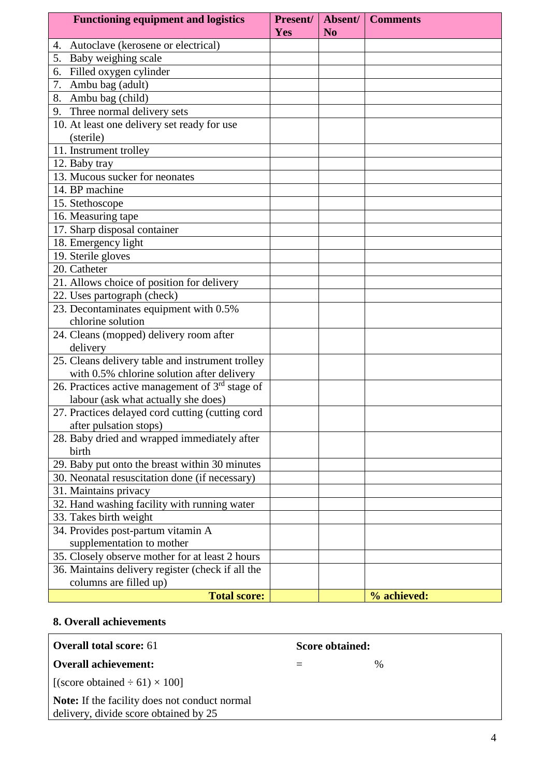|    | <b>Functioning equipment and logistics</b>        | Present/<br>Yes | Absent/<br>N <sub>0</sub> | <b>Comments</b> |
|----|---------------------------------------------------|-----------------|---------------------------|-----------------|
| 4. | Autoclave (kerosene or electrical)                |                 |                           |                 |
| 5. | Baby weighing scale                               |                 |                           |                 |
| 6. | Filled oxygen cylinder                            |                 |                           |                 |
|    | 7. Ambu bag (adult)                               |                 |                           |                 |
|    | 8. Ambu bag (child)                               |                 |                           |                 |
| 9. | Three normal delivery sets                        |                 |                           |                 |
|    | 10. At least one delivery set ready for use       |                 |                           |                 |
|    | (sterile)                                         |                 |                           |                 |
|    | 11. Instrument trolley                            |                 |                           |                 |
|    | 12. Baby tray                                     |                 |                           |                 |
|    | 13. Mucous sucker for neonates                    |                 |                           |                 |
|    | 14. BP machine                                    |                 |                           |                 |
|    | 15. Stethoscope                                   |                 |                           |                 |
|    | 16. Measuring tape                                |                 |                           |                 |
|    | 17. Sharp disposal container                      |                 |                           |                 |
|    | 18. Emergency light                               |                 |                           |                 |
|    | 19. Sterile gloves                                |                 |                           |                 |
|    | 20. Catheter                                      |                 |                           |                 |
|    | 21. Allows choice of position for delivery        |                 |                           |                 |
|    | 22. Uses partograph (check)                       |                 |                           |                 |
|    | 23. Decontaminates equipment with 0.5%            |                 |                           |                 |
|    | chlorine solution                                 |                 |                           |                 |
|    | 24. Cleans (mopped) delivery room after           |                 |                           |                 |
|    | delivery                                          |                 |                           |                 |
|    | 25. Cleans delivery table and instrument trolley  |                 |                           |                 |
|    | with 0.5% chlorine solution after delivery        |                 |                           |                 |
|    | 26. Practices active management of $3rd$ stage of |                 |                           |                 |
|    | labour (ask what actually she does)               |                 |                           |                 |
|    | 27. Practices delayed cord cutting (cutting cord  |                 |                           |                 |
|    | after pulsation stops)                            |                 |                           |                 |
|    | 28. Baby dried and wrapped immediately after      |                 |                           |                 |
|    | birth                                             |                 |                           |                 |
|    | 29. Baby put onto the breast within 30 minutes    |                 |                           |                 |
|    | 30. Neonatal resuscitation done (if necessary)    |                 |                           |                 |
|    | 31. Maintains privacy                             |                 |                           |                 |
|    | 32. Hand washing facility with running water      |                 |                           |                 |
|    | 33. Takes birth weight                            |                 |                           |                 |
|    | 34. Provides post-partum vitamin A                |                 |                           |                 |
|    | supplementation to mother                         |                 |                           |                 |
|    | 35. Closely observe mother for at least 2 hours   |                 |                           |                 |
|    | 36. Maintains delivery register (check if all the |                 |                           |                 |
|    | columns are filled up)                            |                 |                           |                 |
|    | <b>Total score:</b>                               |                 |                           | % achieved:     |

#### **8. Overall achievements**

| Overall total score: 61                                                                       | Score obtained: |      |  |
|-----------------------------------------------------------------------------------------------|-----------------|------|--|
| <b>Overall achievement:</b>                                                                   |                 | $\%$ |  |
| $\left  \right $ [(score obtained $\div$ 61) $\times$ 100]                                    |                 |      |  |
| <b>Note:</b> If the facility does not conduct normal<br>delivery, divide score obtained by 25 |                 |      |  |